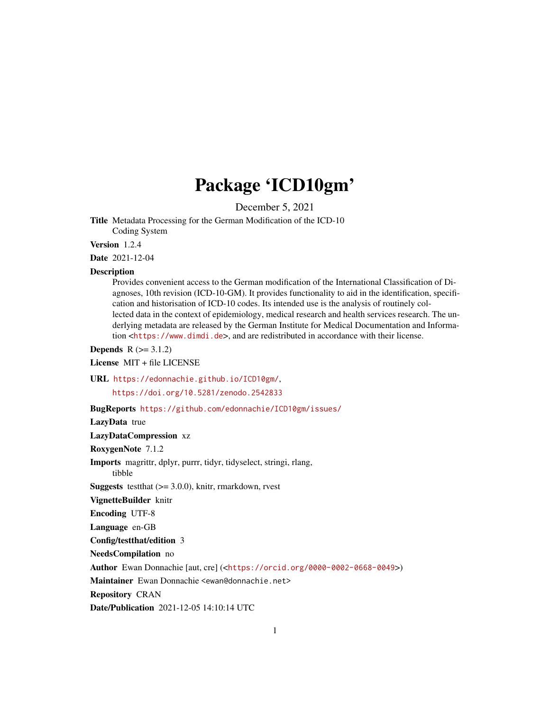## Package 'ICD10gm'

December 5, 2021

Title Metadata Processing for the German Modification of the ICD-10 Coding System

Version 1.2.4

Date 2021-12-04

#### Description

Provides convenient access to the German modification of the International Classification of Diagnoses, 10th revision (ICD-10-GM). It provides functionality to aid in the identification, specification and historisation of ICD-10 codes. Its intended use is the analysis of routinely collected data in the context of epidemiology, medical research and health services research. The underlying metadata are released by the German Institute for Medical Documentation and Information <<https://www.dimdi.de>>, and are redistributed in accordance with their license.

**Depends**  $R (= 3.1.2)$ 

License MIT + file LICENSE

URL <https://edonnachie.github.io/ICD10gm/>,

<https://doi.org/10.5281/zenodo.2542833>

BugReports <https://github.com/edonnachie/ICD10gm/issues/>

LazyData true

LazyDataCompression xz

RoxygenNote 7.1.2

Imports magrittr, dplyr, purrr, tidyr, tidyselect, stringi, rlang,

tibble

**Suggests** test that  $(>= 3.0.0)$ , knitr, rmarkdown, rvest

VignetteBuilder knitr

Encoding UTF-8

Language en-GB

Config/testthat/edition 3

NeedsCompilation no

Author Ewan Donnachie [aut, cre] (<<https://orcid.org/0000-0002-0668-0049>>)

Maintainer Ewan Donnachie <ewan@donnachie.net>

Repository CRAN

Date/Publication 2021-12-05 14:10:14 UTC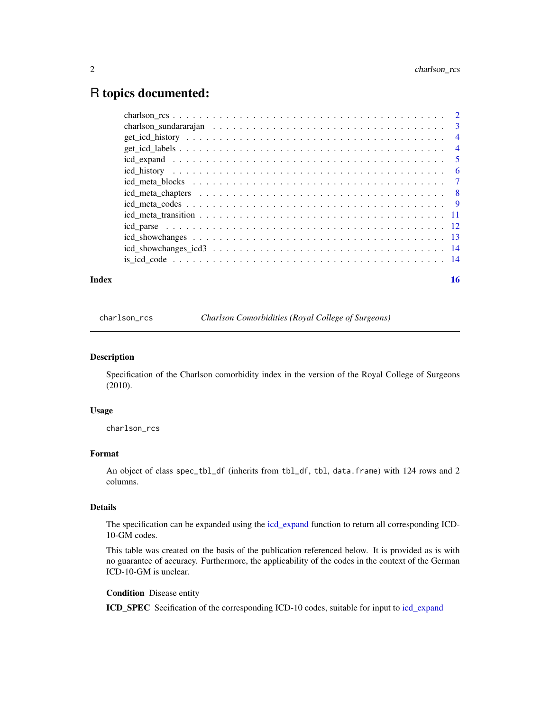### <span id="page-1-0"></span>R topics documented:

| Index | 16 |
|-------|----|

<span id="page-1-1"></span>charlson\_rcs *Charlson Comorbidities (Royal College of Surgeons)*

#### Description

Specification of the Charlson comorbidity index in the version of the Royal College of Surgeons (2010).

#### Usage

charlson\_rcs

#### Format

An object of class spec\_tbl\_df (inherits from tbl\_df, tbl, data.frame) with 124 rows and 2 columns.

#### Details

The specification can be expanded using the [icd\\_expand](#page-4-1) function to return all corresponding ICD-10-GM codes.

This table was created on the basis of the publication referenced below. It is provided as is with no guarantee of accuracy. Furthermore, the applicability of the codes in the context of the German ICD-10-GM is unclear.

Condition Disease entity

ICD\_SPEC Secification of the corresponding ICD-10 codes, suitable for input to [icd\\_expand](#page-4-1)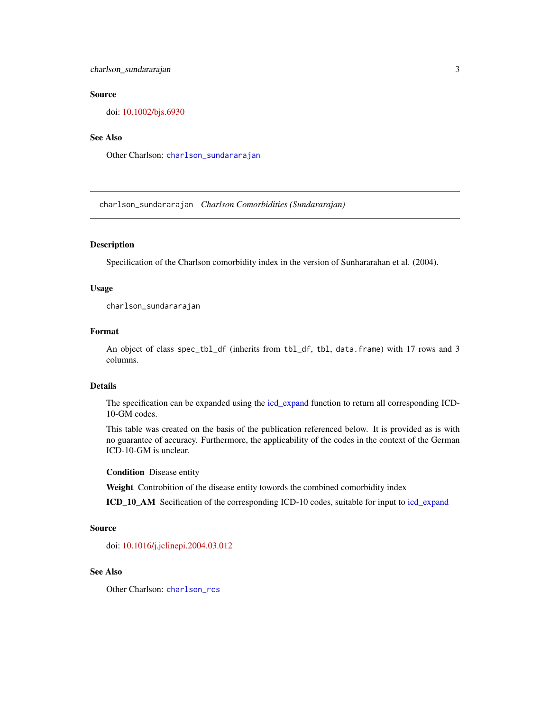#### <span id="page-2-0"></span>Source

doi: [10.1002/bjs.6930](https://doi.org/10.1002/bjs.6930)

#### See Also

Other Charlson: [charlson\\_sundararajan](#page-2-1)

<span id="page-2-1"></span>charlson\_sundararajan *Charlson Comorbidities (Sundararajan)*

#### Description

Specification of the Charlson comorbidity index in the version of Sunhararahan et al. (2004).

#### Usage

charlson\_sundararajan

#### Format

An object of class spec\_tbl\_df (inherits from tbl\_df, tbl, data.frame) with 17 rows and 3 columns.

#### Details

The specification can be expanded using the [icd\\_expand](#page-4-1) function to return all corresponding ICD-10-GM codes.

This table was created on the basis of the publication referenced below. It is provided as is with no guarantee of accuracy. Furthermore, the applicability of the codes in the context of the German ICD-10-GM is unclear.

Condition Disease entity

Weight Controbition of the disease entity towords the combined comorbidity index

ICD\_10\_AM Secification of the corresponding ICD-10 codes, suitable for input to [icd\\_expand](#page-4-1)

#### Source

doi: [10.1016/j.jclinepi.2004.03.012](https://doi.org/10.1016/j.jclinepi.2004.03.012)

#### See Also

Other Charlson: [charlson\\_rcs](#page-1-1)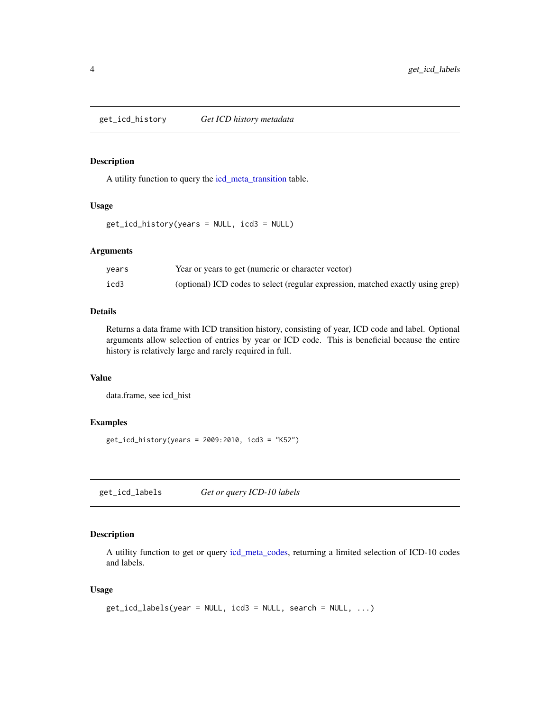<span id="page-3-0"></span>

#### Description

A utility function to query the [icd\\_meta\\_transition](#page-10-1) table.

#### Usage

get\_icd\_history(years = NULL, icd3 = NULL)

#### Arguments

| vears | Year or years to get (numeric or character vector)                              |
|-------|---------------------------------------------------------------------------------|
| icd3  | (optional) ICD codes to select (regular expression, matched exactly using grep) |

#### Details

Returns a data frame with ICD transition history, consisting of year, ICD code and label. Optional arguments allow selection of entries by year or ICD code. This is beneficial because the entire history is relatively large and rarely required in full.

#### Value

data.frame, see icd\_hist

#### Examples

get\_icd\_history(years = 2009:2010, icd3 = "K52")

get\_icd\_labels *Get or query ICD-10 labels*

#### Description

A utility function to get or query [icd\\_meta\\_codes,](#page-8-1) returning a limited selection of ICD-10 codes and labels.

#### Usage

```
get\_icd\_labels(year = NULL, icd3 = NULL, search = NULL, ...)
```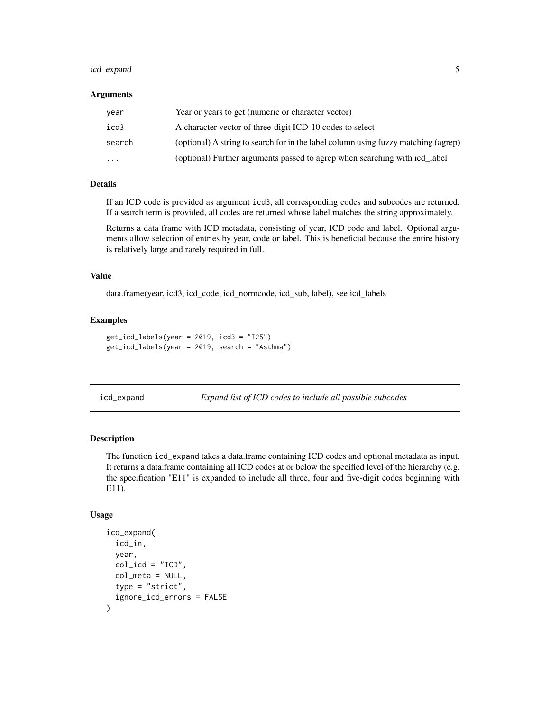#### <span id="page-4-0"></span>icd\_expand 5

#### Arguments

| year      | Year or years to get (numeric or character vector)                                 |
|-----------|------------------------------------------------------------------------------------|
| icd3      | A character vector of three-digit ICD-10 codes to select                           |
| search    | (optional) A string to search for in the label column using fuzzy matching (agrep) |
| $\ddotsc$ | (optional) Further arguments passed to agrep when searching with icd_label         |

#### Details

If an ICD code is provided as argument icd3, all corresponding codes and subcodes are returned. If a search term is provided, all codes are returned whose label matches the string approximately.

Returns a data frame with ICD metadata, consisting of year, ICD code and label. Optional arguments allow selection of entries by year, code or label. This is beneficial because the entire history is relatively large and rarely required in full.

#### Value

data.frame(year, icd3, icd\_code, icd\_normcode, icd\_sub, label), see icd\_labels

#### Examples

```
get_icd_labels(year = 2019, icd3 = "I25")
get_icd_labels(year = 2019, search = "Asthma")
```
<span id="page-4-1"></span>icd\_expand *Expand list of ICD codes to include all possible subcodes*

#### Description

The function icd\_expand takes a data.frame containing ICD codes and optional metadata as input. It returns a data.frame containing all ICD codes at or below the specified level of the hierarchy (e.g. the specification "E11" is expanded to include all three, four and five-digit codes beginning with E11).

#### Usage

```
icd_expand(
  icd_in,
  year,
  col\_icd = "ICD",col_meta = NULL,
  type = "strict",
  ignore_icd_errors = FALSE
)
```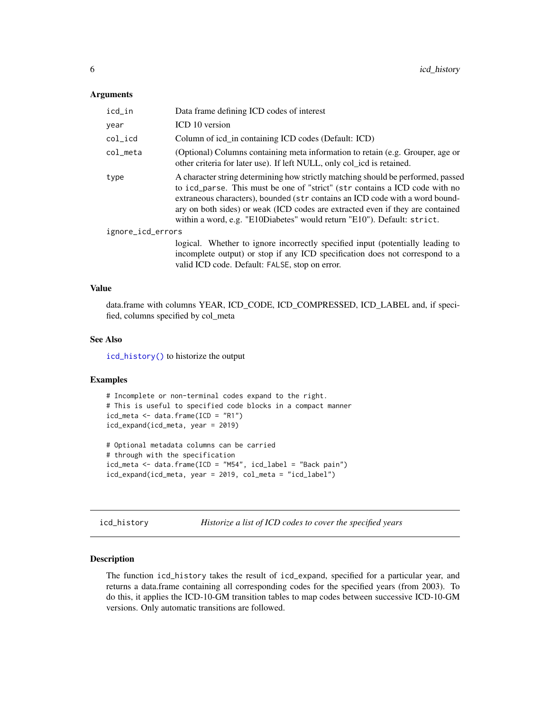#### <span id="page-5-0"></span>**Arguments**

| icd_in            | Data frame defining ICD codes of interest                                                                                                                                                                                                                                                                                                                                                                    |  |
|-------------------|--------------------------------------------------------------------------------------------------------------------------------------------------------------------------------------------------------------------------------------------------------------------------------------------------------------------------------------------------------------------------------------------------------------|--|
| vear              | ICD 10 version                                                                                                                                                                                                                                                                                                                                                                                               |  |
| col_icd           | Column of icd_in containing ICD codes (Default: ICD)                                                                                                                                                                                                                                                                                                                                                         |  |
| col_meta          | (Optional) Columns containing meta information to retain (e.g. Grouper, age or<br>other criteria for later use). If left NULL, only col_icd is retained.                                                                                                                                                                                                                                                     |  |
| type              | A character string determining how strictly matching should be performed, passed<br>to icd_parse. This must be one of "strict" (str contains a ICD code with no<br>extraneous characters), bounded (str contains an ICD code with a word bound-<br>ary on both sides) or weak (ICD codes are extracted even if they are contained<br>within a word, e.g. "E10Diabetes" would return "E10"). Default: strict. |  |
| ignore_icd_errors |                                                                                                                                                                                                                                                                                                                                                                                                              |  |
|                   | logical. Whether to ignore incorrectly specified input (potentially leading to<br>incomplete output) or stop if any ICD specification does not correspond to a<br>valid ICD code. Default: FALSE, stop on error.                                                                                                                                                                                             |  |

#### Value

data.frame with columns YEAR, ICD\_CODE, ICD\_COMPRESSED, ICD\_LABEL and, if specified, columns specified by col\_meta

#### See Also

[icd\\_history\(\)](#page-5-1) to historize the output

#### Examples

```
# Incomplete or non-terminal codes expand to the right.
# This is useful to specified code blocks in a compact manner
icd_meta \leftarrow data.frame(ICD = "R1")icd_expand(icd_meta, year = 2019)
# Optional metadata columns can be carried
```

```
# through with the specification
icd_meta <- data.frame(ICD = "M54", icd_label = "Back pain")
icd_expand(icd_meta, year = 2019, col_meta = "icd_label")
```
<span id="page-5-1"></span>icd\_history *Historize a list of ICD codes to cover the specified years*

#### Description

The function icd\_history takes the result of icd\_expand, specified for a particular year, and returns a data.frame containing all corresponding codes for the specified years (from 2003). To do this, it applies the ICD-10-GM transition tables to map codes between successive ICD-10-GM versions. Only automatic transitions are followed.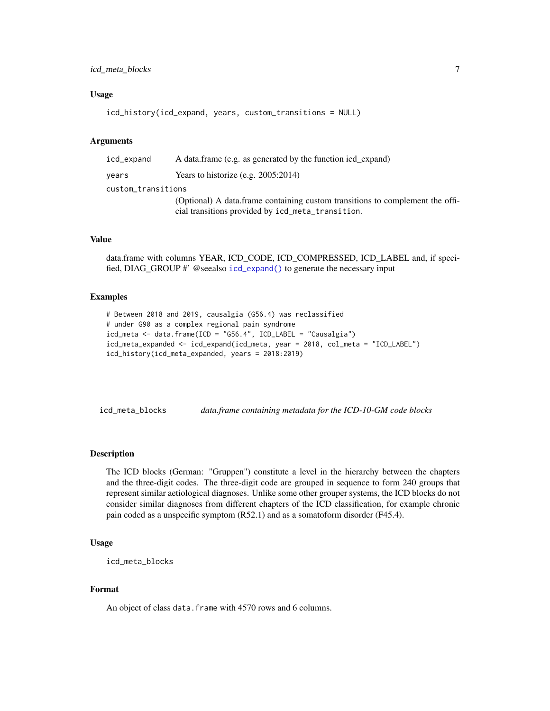#### <span id="page-6-0"></span>icd\_meta\_blocks 7

#### Usage

```
icd_history(icd_expand, years, custom_transitions = NULL)
```
#### **Arguments**

| icd_expand         | A data frame (e.g. as generated by the function icd_expand)                                                                        |  |
|--------------------|------------------------------------------------------------------------------------------------------------------------------------|--|
| vears              | Years to historize (e.g. 2005:2014)                                                                                                |  |
| custom_transitions |                                                                                                                                    |  |
|                    | (Optional) A data.frame containing custom transitions to complement the offi-<br>cial transitions provided by icd_meta_transition. |  |

#### Value

data.frame with columns YEAR, ICD\_CODE, ICD\_COMPRESSED, ICD\_LABEL and, if specified, DIAG\_GROUP #' @seealso [icd\\_expand\(\)](#page-4-1) to generate the necessary input

#### Examples

```
# Between 2018 and 2019, causalgia (G56.4) was reclassified
# under G90 as a complex regional pain syndrome
icd_meta \leftarrow data frame(ICD = "G56.4", ICD_LABEL = "Causalgia")icd_meta_expanded <- icd_expand(icd_meta, year = 2018, col_meta = "ICD_LABEL")
icd_history(icd_meta_expanded, years = 2018:2019)
```
<span id="page-6-1"></span>icd\_meta\_blocks *data.frame containing metadata for the ICD-10-GM code blocks*

#### **Description**

The ICD blocks (German: "Gruppen") constitute a level in the hierarchy between the chapters and the three-digit codes. The three-digit code are grouped in sequence to form 240 groups that represent similar aetiological diagnoses. Unlike some other grouper systems, the ICD blocks do not consider similar diagnoses from different chapters of the ICD classification, for example chronic pain coded as a unspecific symptom (R52.1) and as a somatoform disorder (F45.4).

#### Usage

```
icd_meta_blocks
```
#### Format

An object of class data. frame with 4570 rows and 6 columns.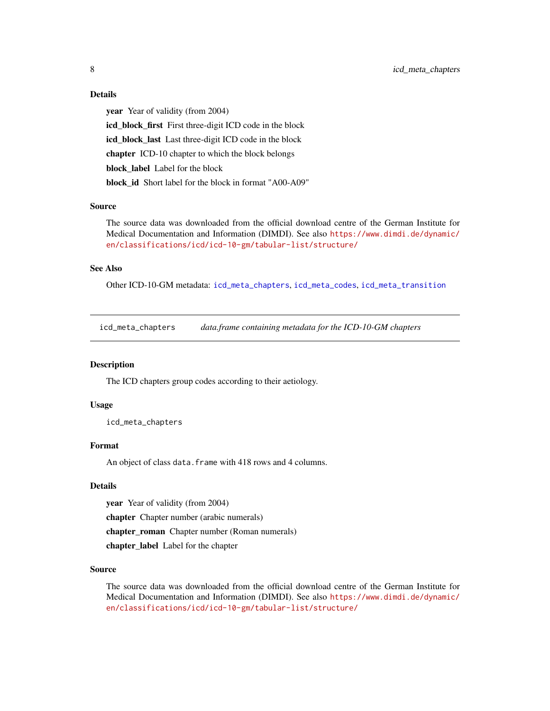#### Details

year Year of validity (from 2004) icd\_block\_first First three-digit ICD code in the block icd\_block\_last Last three-digit ICD code in the block chapter ICD-10 chapter to which the block belongs block\_label Label for the block block id Short label for the block in format "A00-A09"

#### Source

The source data was downloaded from the official download centre of the German Institute for Medical Documentation and Information (DIMDI). See also [https://www.dimdi.de/dynamic/](https://www.dimdi.de/dynamic/en/classifications/icd/icd-10-gm/tabular-list/structure/) [en/classifications/icd/icd-10-gm/tabular-list/structure/](https://www.dimdi.de/dynamic/en/classifications/icd/icd-10-gm/tabular-list/structure/)

#### See Also

Other ICD-10-GM metadata: [icd\\_meta\\_chapters](#page-7-1), [icd\\_meta\\_codes](#page-8-1), [icd\\_meta\\_transition](#page-10-1)

<span id="page-7-1"></span>icd\_meta\_chapters *data.frame containing metadata for the ICD-10-GM chapters*

#### Description

The ICD chapters group codes according to their aetiology.

#### Usage

icd\_meta\_chapters

#### Format

An object of class data.frame with 418 rows and 4 columns.

#### Details

year Year of validity (from 2004)

chapter Chapter number (arabic numerals)

chapter\_roman Chapter number (Roman numerals)

chapter\_label Label for the chapter

#### Source

The source data was downloaded from the official download centre of the German Institute for Medical Documentation and Information (DIMDI). See also [https://www.dimdi.de/dynamic/](https://www.dimdi.de/dynamic/en/classifications/icd/icd-10-gm/tabular-list/structure/) [en/classifications/icd/icd-10-gm/tabular-list/structure/](https://www.dimdi.de/dynamic/en/classifications/icd/icd-10-gm/tabular-list/structure/)

<span id="page-7-0"></span>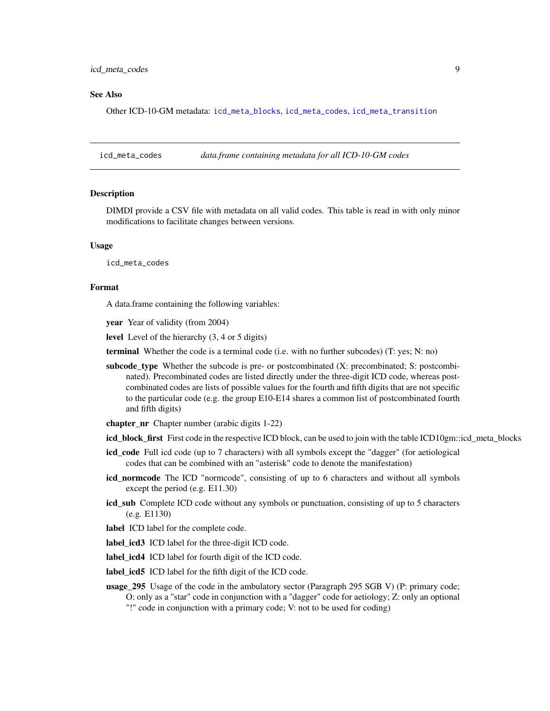#### <span id="page-8-0"></span>See Also

Other ICD-10-GM metadata: [icd\\_meta\\_blocks](#page-6-1), [icd\\_meta\\_codes](#page-8-1), [icd\\_meta\\_transition](#page-10-1)

<span id="page-8-1"></span>icd\_meta\_codes *data.frame containing metadata for all ICD-10-GM codes*

#### **Description**

DIMDI provide a CSV file with metadata on all valid codes. This table is read in with only minor modifications to facilitate changes between versions.

#### Usage

icd\_meta\_codes

#### Format

A data.frame containing the following variables:

year Year of validity (from 2004)

level Level of the hierarchy (3, 4 or 5 digits)

terminal Whether the code is a terminal code (i.e. with no further subcodes) (T: yes; N: no)

- subcode\_type Whether the subcode is pre- or postcombinated (X: precombinated; S: postcombinated). Precombinated codes are listed directly under the three-digit ICD code, whereas postcombinated codes are lists of possible values for the fourth and fifth digits that are not specific to the particular code (e.g. the group E10-E14 shares a common list of postcombinated fourth and fifth digits)
- chapter\_nr Chapter number (arabic digits 1-22)

icd\_block\_first First code in the respective ICD block, can be used to join with the table ICD10gm::icd\_meta\_blocks

- icd\_code Full icd code (up to 7 characters) with all symbols except the "dagger" (for aetiological codes that can be combined with an "asterisk" code to denote the manifestation)
- icd\_normcode The ICD "normcode", consisting of up to 6 characters and without all symbols except the period (e.g. E11.30)
- icd\_sub Complete ICD code without any symbols or punctuation, consisting of up to 5 characters (e.g. E1130)
- label ICD label for the complete code.
- label\_icd3 ICD label for the three-digit ICD code.
- label\_icd4 ICD label for fourth digit of the ICD code.
- label\_icd5 ICD label for the fifth digit of the ICD code.
- usage\_295 Usage of the code in the ambulatory sector (Paragraph 295 SGB V) (P: primary code; O: only as a "star" code in conjunction with a "dagger" code for aetiology; Z: only an optional "!" code in conjunction with a primary code; V: not to be used for coding)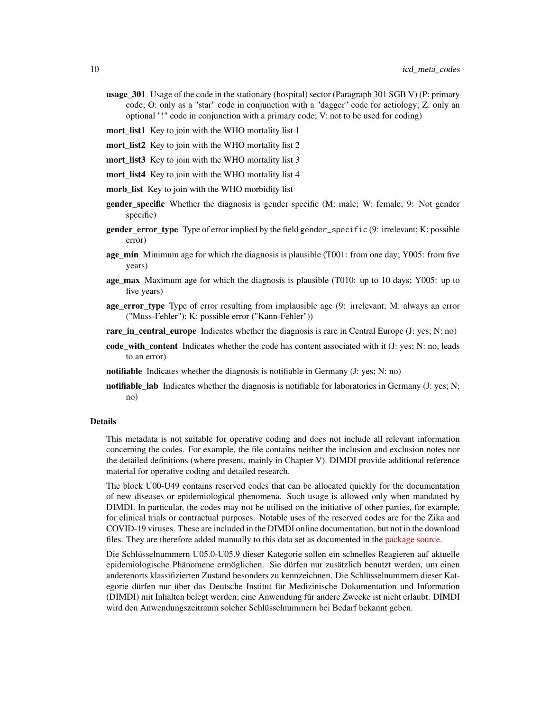- usage\_301 Usage of the code in the stationary (hospital) sector (Paragraph 301 SGB V) (P: primary code; O: only as a "star" code in conjunction with a "dagger" code for aetiology; Z: only an optional "!" code in conjunction with a primary code; V: not to be used for coding)
- mort list1 Key to join with the WHO mortality list 1
- mort list<sup>2</sup> Key to join with the WHO mortality list 2
- mort list3 Key to join with the WHO mortality list 3
- mort\_list4 Key to join with the WHO mortality list 4
- morb\_list Key to join with the WHO morbidity list
- **gender specific** Whether the diagnosis is gender specific (M: male; W: female; 9: Not gender specific)
- **gender error type** Type of error implied by the field gender\_specific (9: irrelevant; K: possible error)
- age\_min Minimum age for which the diagnosis is plausible (T001: from one day; Y005: from five years)
- age\_max Maximum age for which the diagnosis is plausible (T010: up to 10 days; Y005: up to five years)
- age\_error\_type Type of error resulting from implausible age (9: irrelevant; M: always an error ("Muss-Fehler"); K: possible error ("Kann-Fehler"))
- rare\_in\_central\_europe Indicates whether the diagnosis is rare in Central Europe (J: yes; N: no)
- code\_with\_content Indicates whether the code has content associated with it (J: yes; N: no, leads to an error)
- notifiable Indicates whether the diagnosis is notifiable in Germany (J: yes; N: no)
- notifiable lab Indicates whether the diagnosis is notifiable for laboratories in Germany  $(J: yes; N: ...)$ no)

#### Details

This metadata is not suitable for operative coding and does not include all relevant information concerning the codes. For example, the file contains neither the inclusion and exclusion notes nor the detailed definitions (where present, mainly in Chapter V). DIMDI provide additional reference material for operative coding and detailed research.

The block U00-U49 contains reserved codes that can be allocated quickly for the documentation of new diseases or epidemiological phenomena. Such usage is allowed only when mandated by DIMDI. In particular, the codes may not be utilised on the initiative of other parties, for example, for clinical trials or contractual purposes. Notable uses of the reserved codes are for the Zika and COVID-19 viruses. These are included in the DIMDI online documentation, but not in the download files. They are therefore added manually to this data set as documented in the [package source.](https://github.com/edonnachie/ICD10gm/blob/master/data-raw/additions/icd_meta_codes_additions.json)

Die Schlüsselnummern U05.0-U05.9 dieser Kategorie sollen ein schnelles Reagieren auf aktuelle epidemiologische Phänomene ermöglichen. Sie dürfen nur zusätzlich benutzt werden, um einen anderenorts klassifizierten Zustand besonders zu kennzeichnen. Die Schlüsselnummern dieser Kategorie dürfen nur über das Deutsche Institut für Medizinische Dokumentation und Information (DIMDI) mit Inhalten belegt werden; eine Anwendung für andere Zwecke ist nicht erlaubt. DIMDI wird den Anwendungszeitraum solcher Schlüsselnummern bei Bedarf bekannt geben.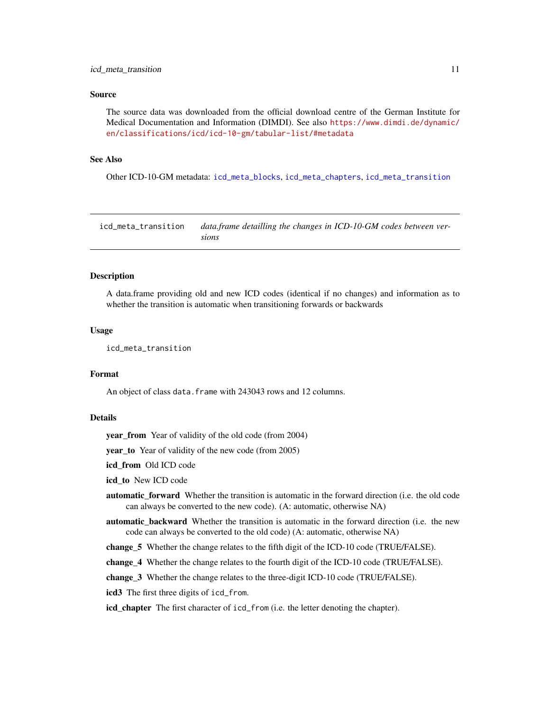#### <span id="page-10-0"></span>Source

The source data was downloaded from the official download centre of the German Institute for Medical Documentation and Information (DIMDI). See also [https://www.dimdi.de/dynamic/](https://www.dimdi.de/dynamic/en/classifications/icd/icd-10-gm/tabular-list/#metadata) [en/classifications/icd/icd-10-gm/tabular-list/#metadata](https://www.dimdi.de/dynamic/en/classifications/icd/icd-10-gm/tabular-list/#metadata)

#### See Also

Other ICD-10-GM metadata: [icd\\_meta\\_blocks](#page-6-1), [icd\\_meta\\_chapters](#page-7-1), [icd\\_meta\\_transition](#page-10-1)

<span id="page-10-1"></span>icd\_meta\_transition *data.frame detailling the changes in ICD-10-GM codes between versions*

#### Description

A data.frame providing old and new ICD codes (identical if no changes) and information as to whether the transition is automatic when transitioning forwards or backwards

#### Usage

icd\_meta\_transition

#### Format

An object of class data. frame with 243043 rows and 12 columns.

#### Details

year\_from Year of validity of the old code (from 2004)

year to Year of validity of the new code (from 2005)

icd\_from Old ICD code

icd to New ICD code

- automatic forward Whether the transition is automatic in the forward direction (i.e. the old code can always be converted to the new code). (A: automatic, otherwise NA)
- automatic\_backward Whether the transition is automatic in the forward direction (i.e. the new code can always be converted to the old code) (A: automatic, otherwise NA)

change\_5 Whether the change relates to the fifth digit of the ICD-10 code (TRUE/FALSE).

change\_4 Whether the change relates to the fourth digit of the ICD-10 code (TRUE/FALSE).

change\_3 Whether the change relates to the three-digit ICD-10 code (TRUE/FALSE).

icd3 The first three digits of icd\_from.

icd\_chapter The first character of icd\_from (i.e. the letter denoting the chapter).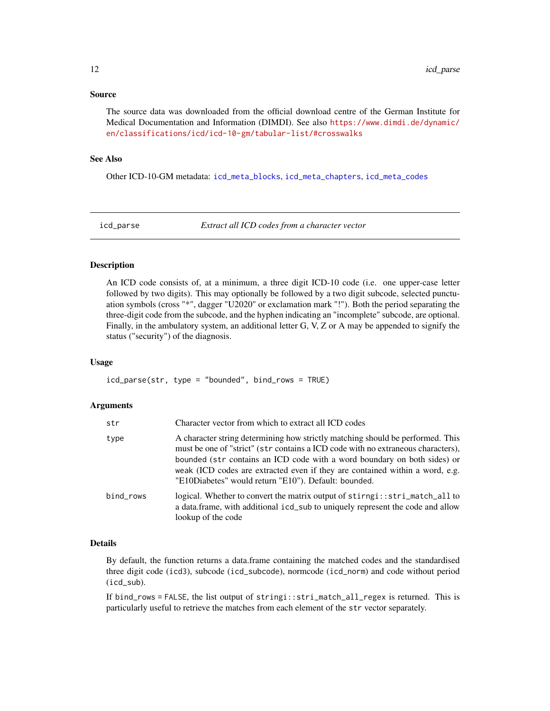#### <span id="page-11-0"></span>Source

The source data was downloaded from the official download centre of the German Institute for Medical Documentation and Information (DIMDI). See also [https://www.dimdi.de/dynamic/](https://www.dimdi.de/dynamic/en/classifications/icd/icd-10-gm/tabular-list/#crosswalks) [en/classifications/icd/icd-10-gm/tabular-list/#crosswalks](https://www.dimdi.de/dynamic/en/classifications/icd/icd-10-gm/tabular-list/#crosswalks)

#### See Also

Other ICD-10-GM metadata: [icd\\_meta\\_blocks](#page-6-1), [icd\\_meta\\_chapters](#page-7-1), [icd\\_meta\\_codes](#page-8-1)

<span id="page-11-1"></span>

icd\_parse *Extract all ICD codes from a character vector*

#### Description

An ICD code consists of, at a minimum, a three digit ICD-10 code (i.e. one upper-case letter followed by two digits). This may optionally be followed by a two digit subcode, selected punctuation symbols (cross "\*", dagger "U2020" or exclamation mark "!"). Both the period separating the three-digit code from the subcode, and the hyphen indicating an "incomplete" subcode, are optional. Finally, in the ambulatory system, an additional letter G, V, Z or A may be appended to signify the status ("security") of the diagnosis.

#### Usage

icd\_parse(str, type = "bounded", bind\_rows = TRUE)

#### Arguments

| str       | Character vector from which to extract all ICD codes                                                                                                                                                                                                                                                                                                                                   |
|-----------|----------------------------------------------------------------------------------------------------------------------------------------------------------------------------------------------------------------------------------------------------------------------------------------------------------------------------------------------------------------------------------------|
| type      | A character string determining how strictly matching should be performed. This<br>must be one of "strict" (str contains a ICD code with no extraneous characters),<br>bounded (str contains an ICD code with a word boundary on both sides) or<br>weak (ICD codes are extracted even if they are contained within a word, e.g.<br>"E10Diabetes" would return "E10"). Default: bounded. |
| bind_rows | logical. Whether to convert the matrix output of stirngi::stri_match_all to<br>a data.frame, with additional icd_sub to uniquely represent the code and allow<br>lookup of the code                                                                                                                                                                                                    |

#### Details

By default, the function returns a data.frame containing the matched codes and the standardised three digit code (icd3), subcode (icd\_subcode), normcode (icd\_norm) and code without period (icd\_sub).

If bind\_rows = FALSE, the list output of stringi::stri\_match\_all\_regex is returned. This is particularly useful to retrieve the matches from each element of the str vector separately.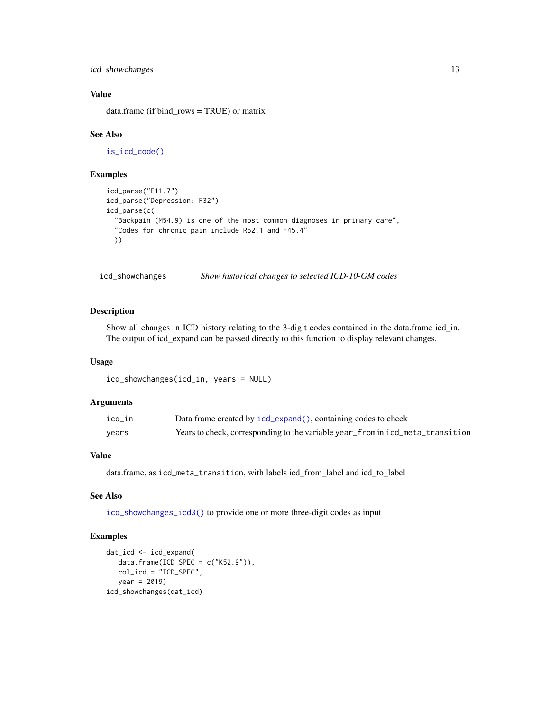<span id="page-12-0"></span>icd\_showchanges 13

#### Value

data.frame (if bind\_rows = TRUE) or matrix

#### See Also

[is\\_icd\\_code\(\)](#page-13-1)

#### Examples

```
icd_parse("E11.7")
icd_parse("Depression: F32")
icd_parse(c(
 "Backpain (M54.9) is one of the most common diagnoses in primary care",
 "Codes for chronic pain include R52.1 and F45.4"
 ))
```
<span id="page-12-1"></span>icd\_showchanges *Show historical changes to selected ICD-10-GM codes*

#### Description

Show all changes in ICD history relating to the 3-digit codes contained in the data.frame icd\_in. The output of icd\_expand can be passed directly to this function to display relevant changes.

#### Usage

```
icd_showchanges(icd_in, years = NULL)
```
#### Arguments

| icd_in | Data frame created by icd_expand(), containing codes to check                  |
|--------|--------------------------------------------------------------------------------|
| vears  | Years to check, corresponding to the variable year_from in icd_meta_transition |

#### Value

data.frame, as icd\_meta\_transition, with labels icd\_from\_label and icd\_to\_label

#### See Also

[icd\\_showchanges\\_icd3\(\)](#page-13-2) to provide one or more three-digit codes as input

#### Examples

```
dat_icd <- icd_expand(
   data.frame(ICD_SPEC = c("K52.9")),
   col_icd = "ICD_SPEC",
  year = 2019)
icd_showchanges(dat_icd)
```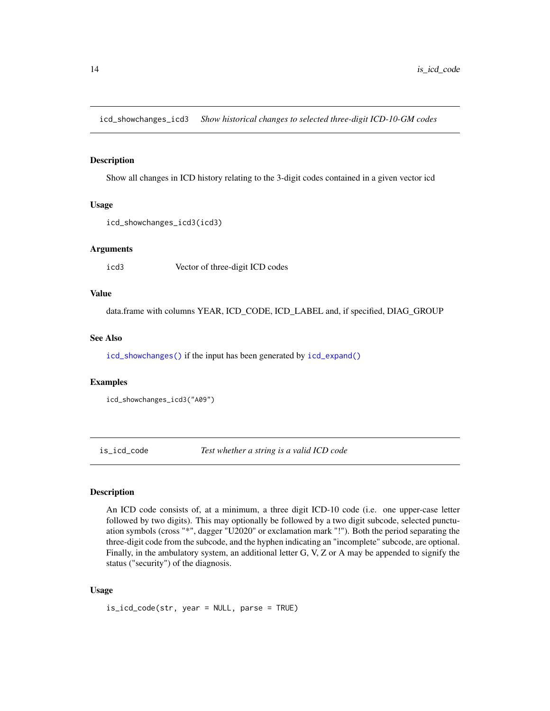<span id="page-13-2"></span><span id="page-13-0"></span>icd\_showchanges\_icd3 *Show historical changes to selected three-digit ICD-10-GM codes*

#### Description

Show all changes in ICD history relating to the 3-digit codes contained in a given vector icd

#### Usage

```
icd_showchanges_icd3(icd3)
```
#### Arguments

icd3 Vector of three-digit ICD codes

#### Value

data.frame with columns YEAR, ICD\_CODE, ICD\_LABEL and, if specified, DIAG\_GROUP

#### See Also

[icd\\_showchanges\(\)](#page-12-1) if the input has been generated by [icd\\_expand\(\)](#page-4-1)

#### Examples

```
icd_showchanges_icd3("A09")
```
<span id="page-13-1"></span>is\_icd\_code *Test whether a string is a valid ICD code*

#### Description

An ICD code consists of, at a minimum, a three digit ICD-10 code (i.e. one upper-case letter followed by two digits). This may optionally be followed by a two digit subcode, selected punctuation symbols (cross "\*", dagger "U2020" or exclamation mark "!"). Both the period separating the three-digit code from the subcode, and the hyphen indicating an "incomplete" subcode, are optional. Finally, in the ambulatory system, an additional letter G, V, Z or A may be appended to signify the status ("security") of the diagnosis.

#### Usage

is\_icd\_code(str, year = NULL, parse = TRUE)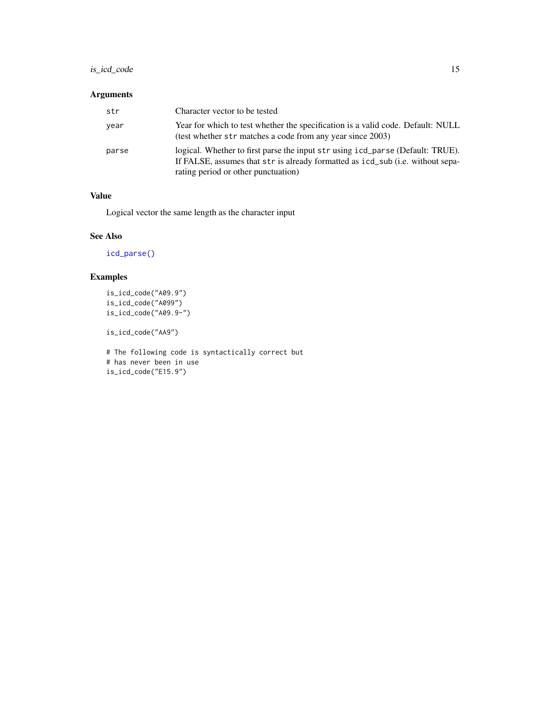#### <span id="page-14-0"></span>is\_icd\_code 15

#### Arguments

| str   | Character vector to be tested                                                                                                                                                                           |
|-------|---------------------------------------------------------------------------------------------------------------------------------------------------------------------------------------------------------|
| year  | Year for which to test whether the specification is a valid code. Default: NULL<br>(test whether str matches a code from any year since 2003)                                                           |
| parse | logical. Whether to first parse the input str using icd_parse (Default: TRUE).<br>If FALSE, assumes that str is already formatted as icd_sub (i.e. without sepa-<br>rating period or other punctuation) |

#### Value

Logical vector the same length as the character input

#### See Also

[icd\\_parse\(\)](#page-11-1)

### Examples

```
is_icd_code("A09.9")
is_icd_code("A099")
is_icd_code("A09.9-")
```
is\_icd\_code("AA9")

```
# The following code is syntactically correct but
# has never been in use
is_icd_code("E15.9")
```